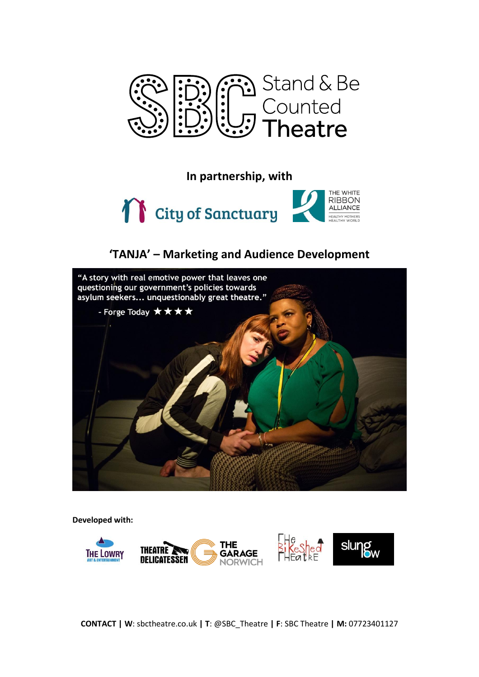

**In partnership, with**



# **'TANJA' – Marketing and Audience Development**



**Developed with:**

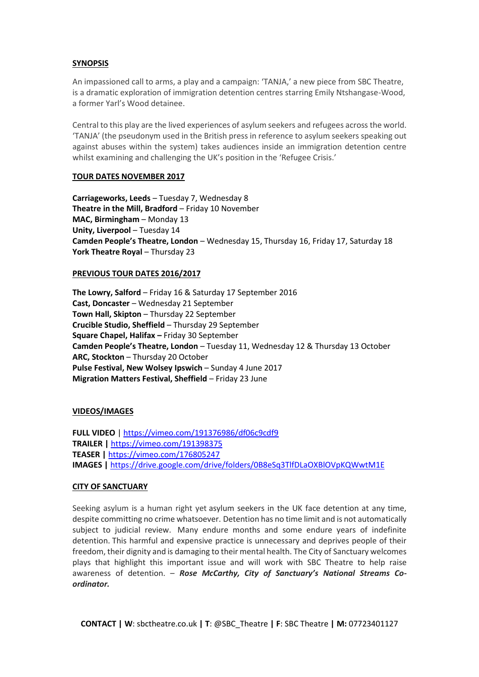#### **SYNOPSIS**

An impassioned call to arms, a play and a campaign: 'TANJA,' a new piece from SBC Theatre, is a dramatic exploration of immigration detention centres starring Emily Ntshangase-Wood, a former Yarl's Wood detainee.

Central to this play are the lived experiences of asylum seekers and refugees across the world. 'TANJA' (the pseudonym used in the British press in reference to asylum seekers speaking out against abuses within the system) takes audiences inside an immigration detention centre whilst examining and challenging the UK's position in the 'Refugee Crisis.'

#### **TOUR DATES NOVEMBER 2017**

**Carriageworks, Leeds** – Tuesday 7, Wednesday 8 **Theatre in the Mill, Bradford** – Friday 10 November **MAC, Birmingham** – Monday 13 **Unity, Liverpool** – Tuesday 14 **Camden People's Theatre, London** – Wednesday 15, Thursday 16, Friday 17, Saturday 18 **York Theatre Royal – Thursday 23** 

# **PREVIOUS TOUR DATES 2016/2017**

**The Lowry, Salford** – Friday 16 & Saturday 17 September 2016 **Cast, Doncaster** – Wednesday 21 September **Town Hall, Skipton** – Thursday 22 September **Crucible Studio, Sheffield** – Thursday 29 September **Square Chapel, Halifax –** Friday 30 September **Camden People's Theatre, London** – Tuesday 11, Wednesday 12 & Thursday 13 October **ARC, Stockton** – Thursday 20 October **Pulse Festival, New Wolsey Ipswich** – Sunday 4 June 2017 **Migration Matters Festival, Sheffield** – Friday 23 June

# **VIDEOS/IMAGES**

**FULL VIDEO** |<https://vimeo.com/191376986/df06c9cdf9> **TRAILER |** <https://vimeo.com/191398375> **TEASER |** <https://vimeo.com/176805247> **IMAGES |** https://drive.google.com/drive/folders/0B8eSq3TlfDLaOXBlOVpKQWwtM1E

#### **CITY OF SANCTUARY**

Seeking asylum is a human right yet asylum seekers in the UK face detention at any time, despite committing no crime whatsoever. Detention has no time limit and is not automatically subject to judicial review. Many endure months and some endure years of indefinite detention. This harmful and expensive practice is unnecessary and deprives people of their freedom, their dignity and is damaging to their mental health. The City of Sanctuary welcomes plays that highlight this important issue and will work with SBC Theatre to help raise awareness of detention. – *Rose McCarthy, City of Sanctuary's National Streams Coordinator.*

**CONTACT | W**: sbctheatre.co.uk **| T**: @SBC\_Theatre **| F**: SBC Theatre **| M:** 07723401127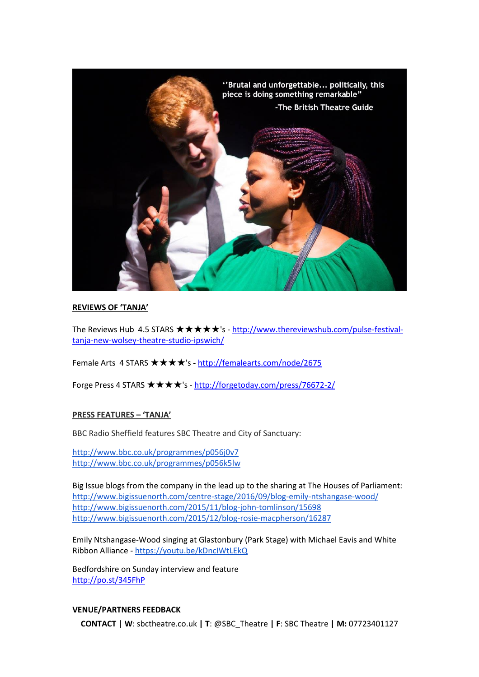

# **REVIEWS OF 'TANJA'**

The Reviews Hub 4.5 STARS  $\star \star \star \star \star$ 's - [http://www.thereviewshub.com/pulse-festival](http://www.thereviewshub.com/pulse-festival-tanja-new-wolsey-theatre-studio-ipswich/)[tanja-new-wolsey-theatre-studio-ipswich/](http://www.thereviewshub.com/pulse-festival-tanja-new-wolsey-theatre-studio-ipswich/)

Female Arts 4 STARS ★★★★'s **-** <http://femalearts.com/node/2675>

Forge Press 4 STARS ★★★★'s - <http://forgetoday.com/press/76672-2/>

# **PRESS FEATURES – 'TANJA'**

BBC Radio Sheffield features SBC Theatre and City of Sanctuary:

<http://www.bbc.co.uk/programmes/p056j0v7> <http://www.bbc.co.uk/programmes/p056k5lw>

Big Issue blogs from the company in the lead up to the sharing at The Houses of Parliament: <http://www.bigissuenorth.com/centre-stage/2016/09/blog-emily-ntshangase-wood/> <http://www.bigissuenorth.com/2015/11/blog-john-tomlinson/15698> <http://www.bigissuenorth.com/2015/12/blog-rosie-macpherson/16287>

Emily Ntshangase-Wood singing at Glastonbury (Park Stage) with Michael Eavis and White Ribbon Alliance - <https://youtu.be/kDncIWtLEkQ>

Bedfordshire on Sunday interview and feature <http://po.st/345FhP>

# **VENUE/PARTNERS FEEDBACK**

**CONTACT | W**: sbctheatre.co.uk **| T**: @SBC\_Theatre **| F**: SBC Theatre **| M:** 07723401127